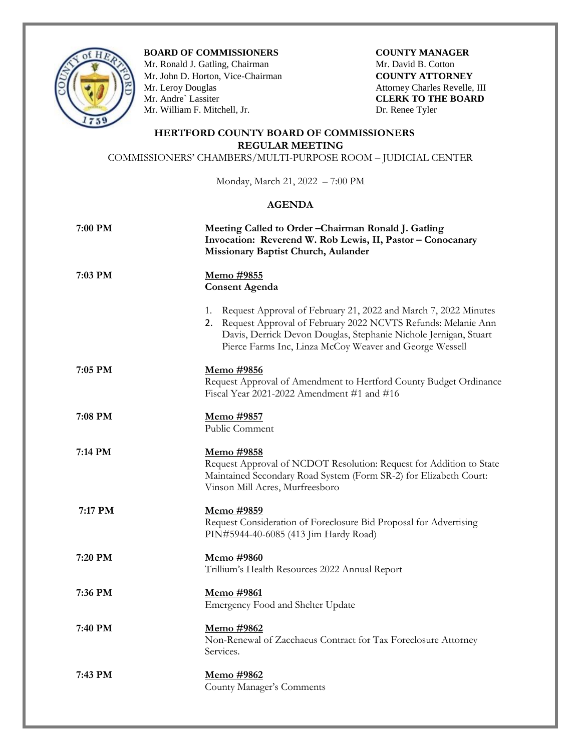

**BOARD OF COMMISSIONERS COUNTY MANAGER** 

Mr. Ronald J. Gatling, ChairmanMr. David B. Cotton Mr. John D. Horton, Vice-Chairman **COUNTY ATTORNEY** Mr. Leroy Douglas Attorney Charles Revelle, III<br>
Mr. Andre` Lassiter CLERK TO THE BOARD Mr. William F. Mitchell, Jr. Dr. Renee Tyler

**CLERK TO THE BOARD** 

## **HERTFORD COUNTY BOARD OF COMMISSIONERS REGULAR MEETING**

COMMISSIONERS' CHAMBERS/MULTI-PURPOSE ROOM – JUDICIAL CENTER

Monday, March 21, 2022 – 7:00 PM

## **AGENDA**

| 7:00 PM | Meeting Called to Order-Chairman Ronald J. Gatling<br>Invocation: Reverend W. Rob Lewis, II, Pastor - Conocanary<br>Missionary Baptist Church, Aulander                                                                                                                    |
|---------|----------------------------------------------------------------------------------------------------------------------------------------------------------------------------------------------------------------------------------------------------------------------------|
| 7:03 PM | Memo #9855<br><b>Consent Agenda</b>                                                                                                                                                                                                                                        |
|         | Request Approval of February 21, 2022 and March 7, 2022 Minutes<br>1.<br>Request Approval of February 2022 NCVTS Refunds: Melanie Ann<br>2.<br>Davis, Derrick Devon Douglas, Stephanie Nichole Jernigan, Stuart<br>Pierce Farms Inc, Linza McCoy Weaver and George Wessell |
| 7:05 PM | Memo #9856<br>Request Approval of Amendment to Hertford County Budget Ordinance<br>Fiscal Year 2021-2022 Amendment #1 and #16                                                                                                                                              |
| 7:08 PM | Memo #9857<br>Public Comment                                                                                                                                                                                                                                               |
| 7:14 PM | Memo #9858<br>Request Approval of NCDOT Resolution: Request for Addition to State<br>Maintained Secondary Road System (Form SR-2) for Elizabeth Court:<br>Vinson Mill Acres, Murfreesboro                                                                                  |
| 7:17 PM | <u>Memo #9859</u><br>Request Consideration of Foreclosure Bid Proposal for Advertising<br>PIN#5944-40-6085 (413 Jim Hardy Road)                                                                                                                                            |
| 7:20 PM | Memo #9860<br>Trillium's Health Resources 2022 Annual Report                                                                                                                                                                                                               |
| 7:36 PM | Memo #9861<br>Emergency Food and Shelter Update                                                                                                                                                                                                                            |
| 7:40 PM | <u>Memo #9862</u><br>Non-Renewal of Zacchaeus Contract for Tax Foreclosure Attorney<br>Services.                                                                                                                                                                           |
| 7:43 PM | <u>Memo #9862</u><br>County Manager's Comments                                                                                                                                                                                                                             |